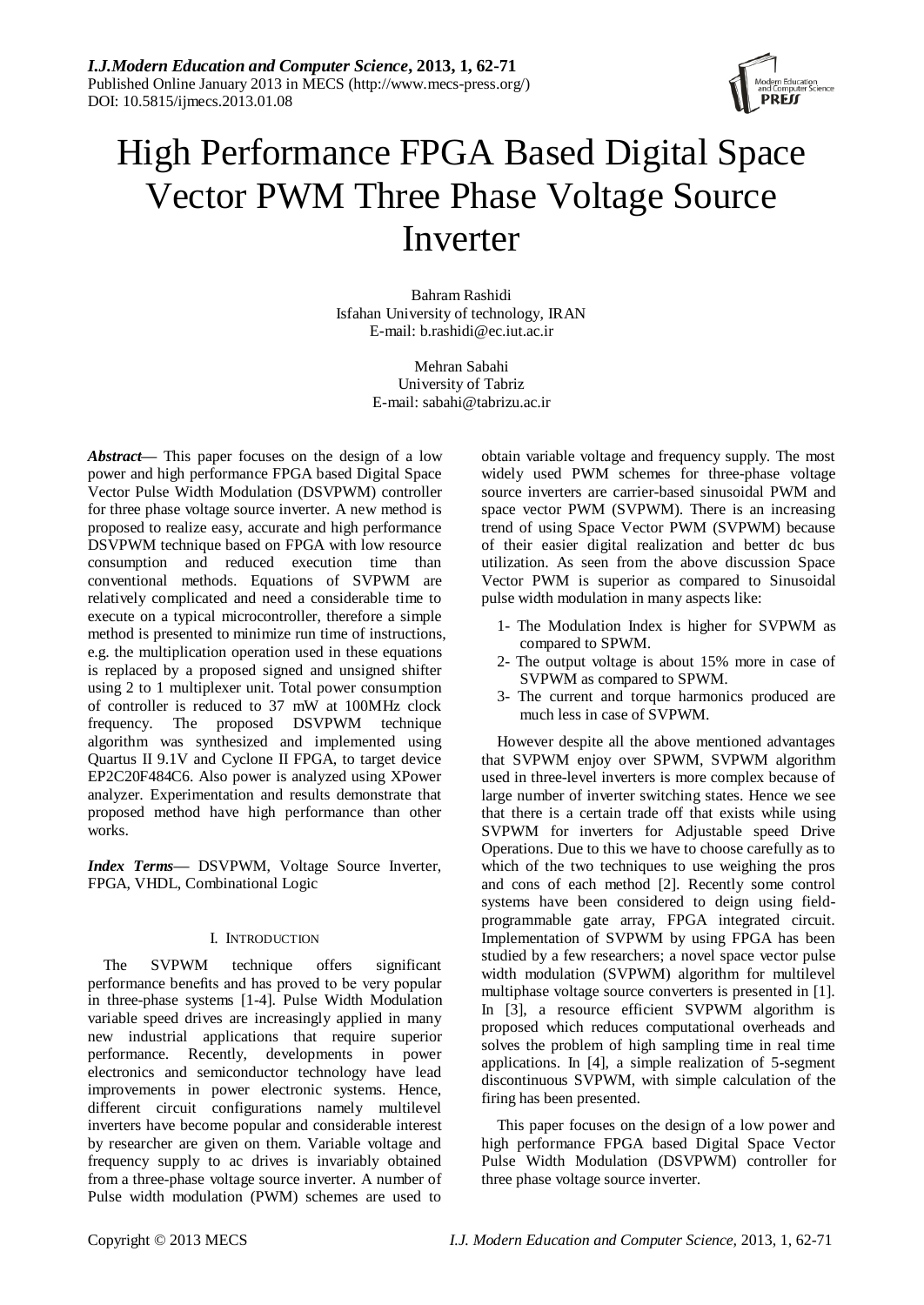

# High Performance FPGA Based Digital Space Vector PWM Three Phase Voltage Source Inverter

Bahram Rashidi Isfahan University of technology, IRAN E-mail: [b.rashidi@ec.iut.ac.ir](mailto:b.rashidi@ec.iut.ac.ir)

> Mehran Sabahi University of Tabriz E-mail: sabahi@tabrizu.ac.ir

*Abstract***—** This paper focuses on the design of a low power and high performance FPGA based Digital Space Vector Pulse Width Modulation (DSVPWM) controller for three phase voltage source inverter. A new method is proposed to realize easy, accurate and high performance DSVPWM technique based on FPGA with low resource consumption and reduced execution time than conventional methods. Equations of SVPWM are relatively complicated and need a considerable time to execute on a typical microcontroller, therefore a simple method is presented to minimize run time of instructions, e.g. the multiplication operation used in these equations is replaced by a proposed signed and unsigned shifter using 2 to 1 multiplexer unit. Total power consumption of controller is reduced to 37 mW at 100MHz clock frequency. The proposed DSVPWM technique algorithm was synthesized and implemented using Quartus II 9.1V and Cyclone II FPGA, to target device EP2C20F484C6. Also power is analyzed using XPower analyzer. Experimentation and results demonstrate that proposed method have high performance than other works.

*Index Terms***—** DSVPWM, Voltage Source Inverter, FPGA, VHDL, Combinational Logic

# I. INTRODUCTION

The SVPWM technique offers significant performance benefits and has proved to be very popular in three-phase systems [1-4]. Pulse Width Modulation variable speed drives are increasingly applied in many new industrial applications that require superior performance. Recently, developments in power electronics and semiconductor technology have lead improvements in power electronic systems. Hence, different circuit configurations namely multilevel inverters have become popular and considerable interest by researcher are given on them. Variable voltage and frequency supply to ac drives is invariably obtained from a three-phase voltage source inverter. A number of Pulse width modulation (PWM) schemes are used to

obtain variable voltage and frequency supply. The most widely used PWM schemes for three-phase voltage source inverters are carrier-based sinusoidal PWM and space vector PWM (SVPWM). There is an increasing trend of using Space Vector PWM (SVPWM) because of their easier digital realization and better dc bus utilization. As seen from the above discussion Space Vector PWM is superior as compared to Sinusoidal pulse width modulation in many aspects like:

- 1- The Modulation Index is higher for SVPWM as compared to SPWM.
- 2- The output voltage is about 15% more in case of SVPWM as compared to SPWM.
- 3- The current and torque harmonics produced are much less in case of SVPWM.

However despite all the above mentioned advantages that SVPWM enjoy over SPWM, SVPWM algorithm used in three-level inverters is more complex because of large number of inverter switching states. Hence we see that there is a certain trade off that exists while using SVPWM for inverters for Adjustable speed Drive Operations. Due to this we have to choose carefully as to which of the two techniques to use weighing the pros and cons of each method [2]. Recently some control systems have been considered to deign using fieldprogrammable gate array, FPGA integrated circuit. Implementation of SVPWM by using FPGA has been studied by a few researchers; a novel space vector pulse width modulation (SVPWM) algorithm for multilevel multiphase voltage source converters is presented in [1]. In [3], a resource efficient SVPWM algorithm is proposed which reduces computational overheads and solves the problem of high sampling time in real time applications. In [4], a simple realization of 5-segment discontinuous SVPWM, with simple calculation of the firing has been presented.

This paper focuses on the design of a low power and high performance FPGA based Digital Space Vector Pulse Width Modulation (DSVPWM) controller for three phase voltage source inverter.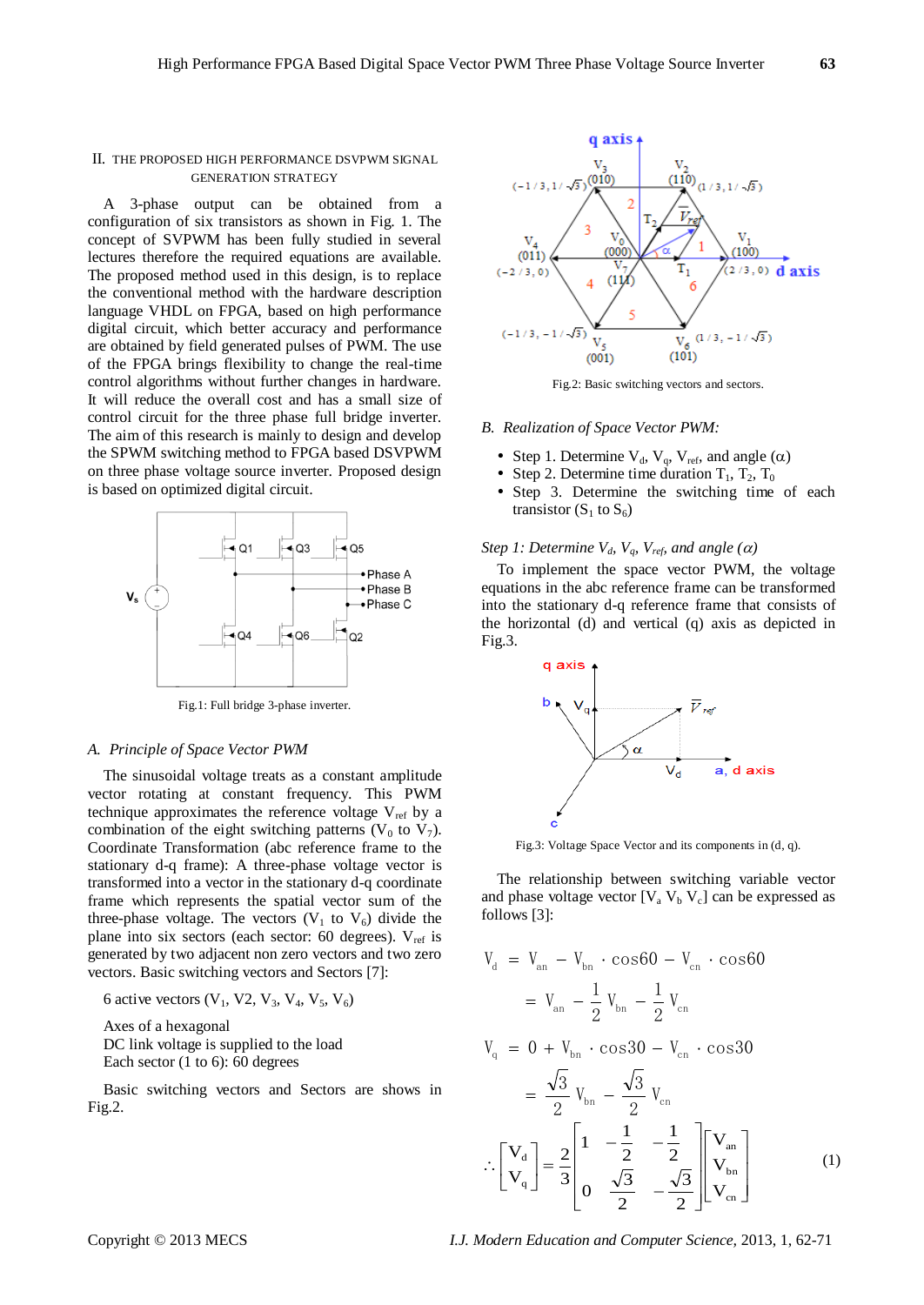#### II. THE PROPOSED HIGH PERFORMANCE DSVPWM SIGNAL GENERATION STRATEGY

A 3-phase output can be obtained from a configuration of six transistors as shown in Fig. 1. The concept of SVPWM has been fully studied in several lectures therefore the required equations are available. The proposed method used in this design, is to replace the conventional method with the hardware description language VHDL on FPGA, based on high performance digital circuit, which better accuracy and performance are obtained by field generated pulses of PWM. The use of the FPGA brings flexibility to change the real-time control algorithms without further changes in hardware. It will reduce the overall cost and has a small size of control circuit for the three phase full bridge inverter. The aim of this research is mainly to design and develop the SPWM switching method to FPGA based DSVPWM on three phase voltage source inverter. Proposed design is based on optimized digital circuit.



Fig.1: Full bridge 3-phase inverter.

#### *A. Principle of Space Vector PWM*

The sinusoidal voltage treats as a constant amplitude vector rotating at constant frequency. This PWM technique approximates the reference voltage  $V_{ref}$  by a combination of the eight switching patterns  $(V_0$  to  $V_7)$ . Coordinate Transformation (abc reference frame to the stationary d-q frame): A three-phase voltage vector is transformed into a vector in the stationary d-q coordinate frame which represents the spatial vector sum of the three-phase voltage. The vectors  $(V_1$  to  $V_6)$  divide the plane into six sectors (each sector:  $60$  degrees).  $V_{ref}$  is generated by two adjacent non zero vectors and two zero vectors. Basic switching vectors and Sectors [7]:

6 active vectors  $(V_1, V_2, V_3, V_4, V_5, V_6)$ 

Axes of a hexagonal DC link voltage is supplied to the load

Each sector (1 to 6): 60 degrees

Basic switching vectors and Sectors are shows in Fig.2.



Fig.2: Basic switching vectors and sectors.

#### *B. Realization of Space Vector PWM:*

- Step 1. Determine  $V_d$ ,  $V_g$ ,  $V_{ref}$ , and angle  $(\alpha)$
- Step 2. Determine time duration  $T_1$ ,  $T_2$ ,  $T_0$
- Step 3. Determine the switching time of each transistor  $(S_1 \text{ to } S_6)$

# *Step 1: Determine*  $V_d$ *,*  $V_q$ *,*  $V_{ref}$  *and angle (* $\alpha$ *)*

To implement the space vector PWM, the voltage equations in the abc reference frame can be transformed into the stationary d-q reference frame that consists of the horizontal (d) and vertical (q) axis as depicted in Fig.3.



Fig.3: Voltage Space Vector and its components in (d, q).

The relationship between switching variable vector and phase voltage vector  $[V_a V_b V_c]$  can be expressed as follows [3]:

$$
V_{d} = V_{an} - V_{bn} \cdot \cos 60 - V_{cn} \cdot \cos 60
$$
  
=  $V_{an} - \frac{1}{2} V_{bn} - \frac{1}{2} V_{cn}$   

$$
V_{q} = 0 + V_{bn} \cdot \cos 30 - V_{cn} \cdot \cos 30
$$

$$
= \frac{\sqrt{3}}{2} V_{\text{bn}} - \frac{\sqrt{3}}{2} V_{\text{cn}} \n\therefore \begin{bmatrix} V_{\text{d}} \\ V_{\text{q}} \end{bmatrix} = \frac{2}{3} \begin{bmatrix} 1 & -\frac{1}{2} & -\frac{1}{2} \\ 0 & \frac{\sqrt{3}}{2} & -\frac{\sqrt{3}}{2} \end{bmatrix} \begin{bmatrix} V_{\text{an}} \\ V_{\text{bn}} \\ V_{\text{cn}} \end{bmatrix}
$$
(1)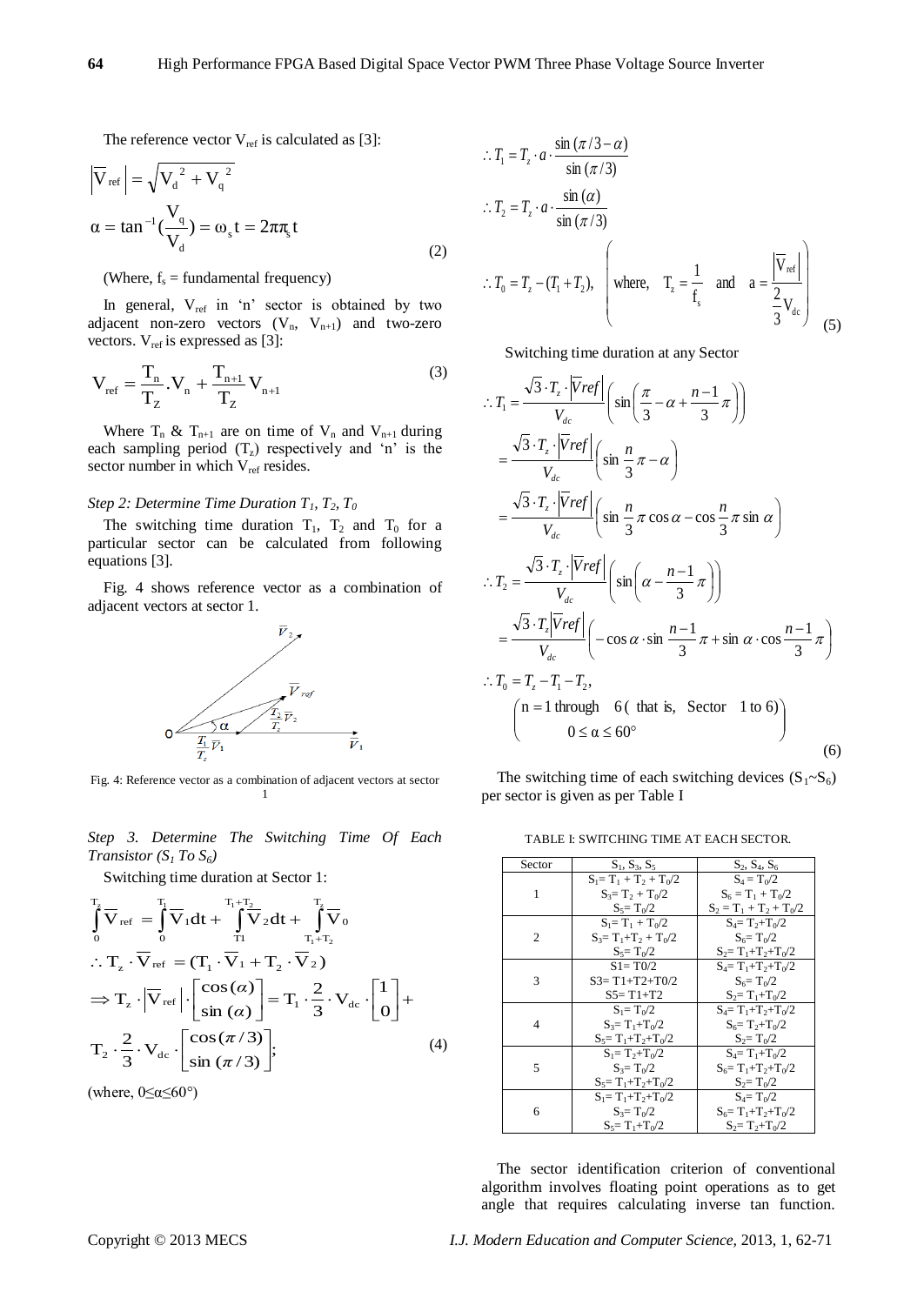The reference vector  $V_{ref}$  is calculated as [3]:

$$
\left|\overline{V}_{\text{ref}}\right| = \sqrt{{V_d}^2 + {V_q}^2}
$$
  
\n
$$
\alpha = \tan^{-1}\left(\frac{V_q}{V_d}\right) = \omega_s t = 2\pi \pi_s t
$$
\n(2)

(Where,  $f_s$  = fundamental frequency)

In general,  $V_{ref}$  in 'n' sector is obtained by two adjacent non-zero vectors  $(V_n, V_{n+1})$  and two-zero vectors.  $V_{ref}$  is expressed as [3]:

$$
V_{ref} = \frac{T_n}{T_Z} . V_n + \frac{T_{n+1}}{T_Z} V_{n+1}
$$
 (3)

Where  $T_n \& T_{n+1}$  are on time of  $V_n$  and  $V_{n+1}$  during each sampling period  $(T<sub>z</sub>)$  respectively and 'n' is the sector number in which  $V_{ref}$  resides.

### *Step 2: Determine Time Duration*  $T_1, T_2, T_0$

The switching time duration  $T_1$ ,  $T_2$  and  $T_0$  for a particular sector can be calculated from following equations [3].

Fig. 4 shows reference vector as a combination of adjacent vectors at sector 1.



Fig. 4: Reference vector as a combination of adjacent vectors at sector 1

*Step 3. Determine The Switching Time Of Each Transistor*  $(S_1 To S_6)$ 

Switching time duration at Sector 1:

$$
\int_{0}^{T_{\text{z}}} \nabla_{\text{ref}} = \int_{0}^{T_{\text{l}}} \nabla_{1} dt + \int_{T_{1}}^{T_{1}+T_{2}} \nabla_{2} dt + \int_{T_{1}+T_{2}}^{T_{\text{z}}} \nabla_{0}
$$
\n
$$
\therefore T_{z} \cdot \nabla_{\text{ref}} = (T_{1} \cdot \nabla_{1} + T_{2} \cdot \nabla_{2})
$$
\n
$$
\Rightarrow T_{z} \cdot |\nabla_{\text{ref}}| \cdot \left[ \frac{\cos(\alpha)}{\sin(\alpha)} \right] = T_{1} \cdot \frac{2}{3} \cdot V_{\text{dc}} \cdot \left[ \frac{1}{0} \right] +
$$
\n
$$
T_{2} \cdot \frac{2}{3} \cdot V_{\text{dc}} \cdot \left[ \frac{\cos(\pi/3)}{\sin(\pi/3)} \right]; \tag{4}
$$

(where,  $0 \le \alpha \le 60^{\circ}$ )

$$
\therefore T_1 = T_z \cdot a \cdot \frac{\sin (\pi/3 - \alpha)}{\sin (\pi/3)}
$$
  
\n
$$
\therefore T_2 = T_z \cdot a \cdot \frac{\sin (\alpha)}{\sin (\pi/3)}
$$
  
\n
$$
\therefore T_0 = T_z - (T_1 + T_2), \quad \text{where,} \quad T_z = \frac{1}{f_s} \quad \text{and} \quad a = \frac{|\overline{V}_{ref}|}{\frac{2}{3}V_{dc}} \quad (5)
$$

Switching time duration at any Sector  $\sim$ luration at any Sector  $\frac{1}{2}$ Switching time duration at any *T* **S** witching time duration at any Secto

$$
\therefore T_1 = \frac{\sqrt{3} \cdot T_z \cdot |\overline{V}ref|}{V_{dc}} \left( \sin\left(\frac{\pi}{3} - \alpha + \frac{n-1}{3}\pi\right) \right)
$$
  
\n
$$
= \frac{\sqrt{3} \cdot T_z \cdot |\overline{V}ref|}{V_{dc}} \left( \sin\frac{n}{3}\pi - \alpha \right)
$$
  
\n
$$
= \frac{\sqrt{3} \cdot T_z \cdot |\overline{V}ref|}{V_{dc}} \left( \sin\frac{n}{3}\pi \cos\alpha - \cos\frac{n}{3}\pi \sin\alpha \right)
$$
  
\n
$$
\therefore T_2 = \frac{\sqrt{3} \cdot T_z \cdot |\overline{V}ref|}{V_{dc}} \left( \sin\left(\alpha - \frac{n-1}{3}\pi\right) \right)
$$
  
\n
$$
= \frac{\sqrt{3} \cdot T_z |\overline{V}ref|}{V_{dc}} \left( -\cos\alpha \cdot \sin\frac{n-1}{3}\pi + \sin\alpha \cdot \cos\frac{n-1}{3}\pi \right)
$$
  
\n
$$
\therefore T_0 = T_z - T_1 - T_2,
$$
  
\n
$$
\left( n = 1 \text{ through } 6 \text{ (that is, Sector 1 to 6)} \right)
$$
  
\n(6)

The switching time of each switching devices  $(S_1 \sim S_6)$ per sector is given as per Table I

TABLE I: SWITCHING TIME AT EACH SECTOR.

| Sector | $S_1, S_3, S_5$           | $S_2, S_4, S_6$           |
|--------|---------------------------|---------------------------|
|        | $S_1 = T_1 + T_2 + T_0/2$ | $S_4 = T_0/2$             |
| 1      | $S_3 = T_2 + T_0/2$       | $S_6 = T_1 + T_0/2$       |
|        | $S_5 = T_0/2$             | $S_2 = T_1 + T_2 + T_0/2$ |
|        | $S_1 = T_1 + T_0/2$       | $S_4 = T_2 + T_0/2$       |
| 2      | $S_3 = T_1 + T_2 + T_0/2$ | $S_6 = T_0/2$             |
|        | $S_5 = T_0/2$             | $S_2 = T_1 + T_2 + T_0/2$ |
|        | $S1 = T0/2$               | $S_4 = T_1 + T_2 + T_0/2$ |
| 3      | $S3 = T1 + T2 + T0/2$     | $S_6 = T_0/2$             |
|        | $S5 = T1 + T2$            | $S_2 = T_1 + T_0/2$       |
|        | $S_1 = T_0/2$             | $S_4 = T_1 + T_2 + T_0/2$ |
| 4      | $S_3 = T_1 + T_0/2$       | $S_6 = T_2 + T_0/2$       |
|        | $S_5 = T_1 + T_2 + T_0/2$ | $S_2 = T_0/2$             |
|        | $S_1 = T_2 + T_0/2$       | $S_4 = T_1 + T_0/2$       |
| 5      | $S_3 = T_0/2$             | $S_6 = T_1 + T_2 + T_0/2$ |
|        | $S_5 = T_1 + T_2 + T_0/2$ | $S_2 = T_0/2$             |
|        | $S_1 = T_1 + T_2 + T_0/2$ | $S_4 = T_0/2$             |
| 6      | $S_3 = T_0/2$             | $S_6 = T_1 + T_2 + T_0/2$ |
|        | $S_5 = T_1 + T_0/2$       | $S_2 = T_2 + T_0/2$       |

The sector identification criterion of conventional algorithm involves floating point operations as to get angle that requires calculating inverse tan function.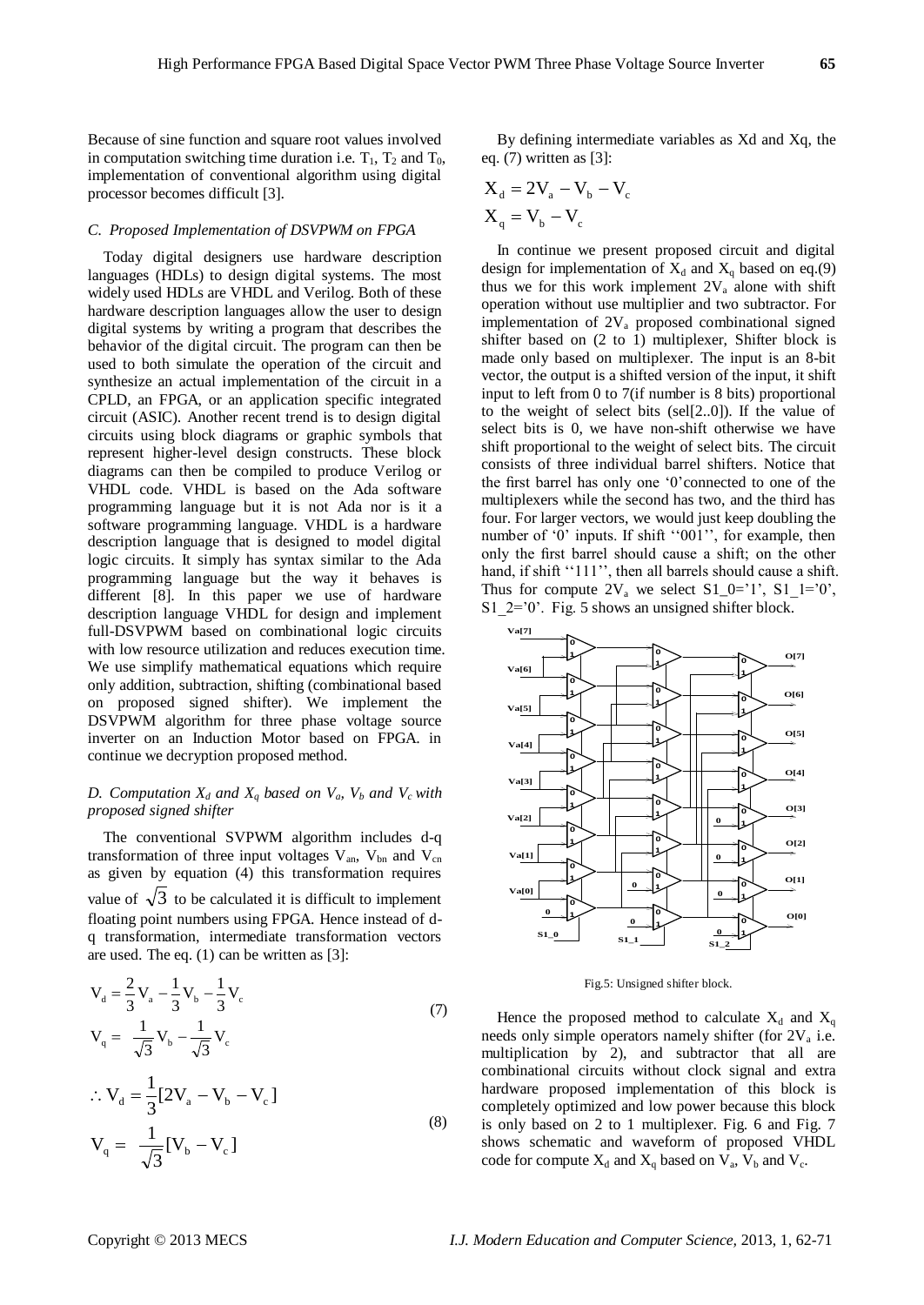Because of sine function and square root values involved in computation switching time duration i.e.  $T_1$ ,  $T_2$  and  $T_0$ , implementation of conventional algorithm using digital processor becomes difficult [3].

# *C. Proposed Implementation of DSVPWM on FPGA*

Today digital designers use hardware description languages (HDLs) to design digital systems. The most widely used HDLs are VHDL and Verilog. Both of these hardware description languages allow the user to design digital systems by writing a program that describes the behavior of the digital circuit. The program can then be used to both simulate the operation of the circuit and synthesize an actual implementation of the circuit in a CPLD, an FPGA, or an application specific integrated circuit (ASIC). Another recent trend is to design digital circuits using block diagrams or graphic symbols that represent higher-level design constructs. These block diagrams can then be compiled to produce Verilog or VHDL code. VHDL is based on the Ada software programming language but it is not Ada nor is it a software programming language. VHDL is a hardware description language that is designed to model digital logic circuits. It simply has syntax similar to the Ada programming language but the way it behaves is different [8]. In this paper we use of hardware description language VHDL for design and implement full-DSVPWM based on combinational logic circuits with low resource utilization and reduces execution time. We use simplify mathematical equations which require only addition, subtraction, shifting (combinational based on proposed signed shifter). We implement the DSVPWM algorithm for three phase voltage source inverter on an Induction Motor based on FPGA. in continue we decryption proposed method.

### *D. Computation*  $X_d$  *and*  $X_q$  *based on*  $V_a$ *,*  $V_b$  *and*  $V_c$  *with proposed signed shifter*

The conventional SVPWM algorithm includes d-q transformation of three input voltages  $V_{an}$ ,  $V_{bn}$  and  $V_{cn}$ as given by equation (4) this transformation requires value of  $\sqrt{3}$  to be calculated it is difficult to implement floating point numbers using FPGA. Hence instead of dq transformation, intermediate transformation vectors are used. The eq. (1) can be written as [3]:

$$
V_{d} = \frac{2}{3} V_{a} - \frac{1}{3} V_{b} - \frac{1}{3} V_{c}
$$
  
\n
$$
V_{q} = \frac{1}{\sqrt{3}} V_{b} - \frac{1}{\sqrt{3}} V_{c}
$$
  
\n
$$
\therefore V_{d} = \frac{1}{3} [2V_{a} - V_{b} - V_{c}]
$$
  
\n
$$
V_{q} = \frac{1}{\sqrt{3}} [V_{b} - V_{c}]
$$
\n(8)

 $[V<sub>b</sub> - V<sub>c</sub>]$ 

By defining intermediate variables as Xd and Xq, the eq. (7) written as [3]:

$$
X_{d} = 2V_{a} - V_{b} - V_{c}
$$

$$
X_{q} = V_{b} - V_{c}
$$

In continue we present proposed circuit and digital design for implementation of  $X_d$  and  $X_q$  based on eq.(9) thus we for this work implement  $2V_a$  alone with shift operation without use multiplier and two subtractor. For implementation of  $2V_a$  proposed combinational signed shifter based on (2 to 1) multiplexer, Shifter block is made only based on multiplexer. The input is an 8-bit vector, the output is a shifted version of the input, it shift input to left from 0 to 7(if number is 8 bits) proportional to the weight of select bits (sel[2..0]). If the value of select bits is 0, we have non-shift otherwise we have shift proportional to the weight of select bits. The circuit consists of three individual barrel shifters. Notice that the first barrel has only one "0"connected to one of the multiplexers while the second has two, and the third has four. For larger vectors, we would just keep doubling the number of  $\dot{0}$  inputs. If shift  $\dot{0}$   $\dot{0}$   $\dot{1}$ , for example, then only the first barrel should cause a shift; on the other hand, if shift "111", then all barrels should cause a shift. Thus for compute  $2V_a$  we select  $S1_0=^1$ ,  $S1_1=^0$ , S1  $2=$  0'. Fig. 5 shows an unsigned shifter block.



Fig.5: Unsigned shifter block.

Hence the proposed method to calculate  $X_d$  and  $X_q$ needs only simple operators namely shifter (for  $2V_a$  i.e. multiplication by 2), and subtractor that all are combinational circuits without clock signal and extra hardware proposed implementation of this block is completely optimized and low power because this block is only based on 2 to 1 multiplexer. Fig. 6 and Fig. 7 shows schematic and waveform of proposed VHDL code for compute  $X_d$  and  $X_q$  based on  $V_a$ ,  $V_b$  and  $V_c$ .

3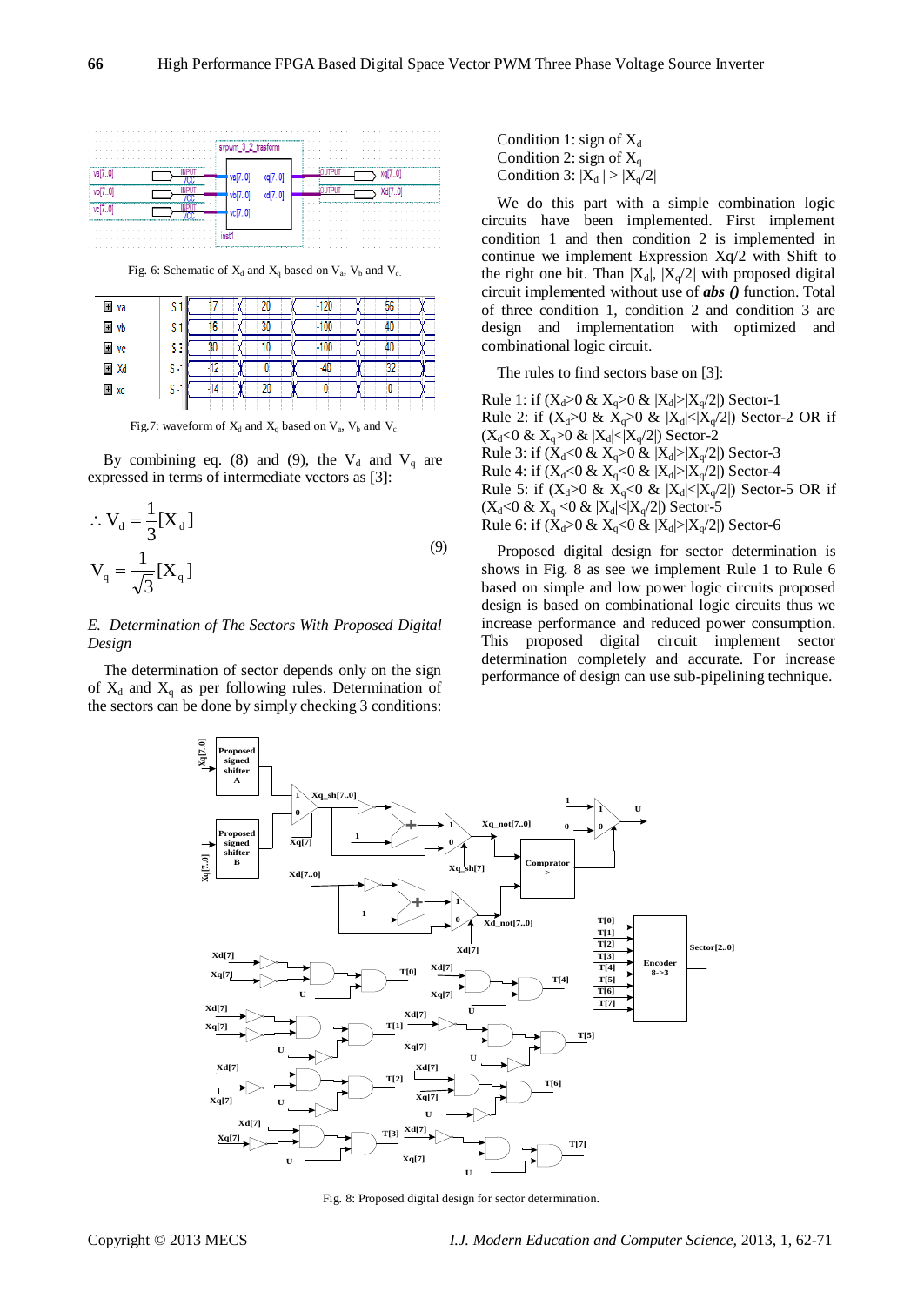

Fig. 6: Schematic of  $X_d$  and  $X_q$  based on  $V_a$ ,  $V_b$  and  $V_c$ .

| El va |    |  |  |  |
|-------|----|--|--|--|
| + vb  | c  |  |  |  |
| El vc |    |  |  |  |
| ⊞ Xd  | s. |  |  |  |
| ± xq  | s: |  |  |  |
|       |    |  |  |  |

Fig.7: waveform of  $X_d$  and  $X_q$  based on  $V_a$ ,  $V_b$  and  $V_c$ .

By combining eq. (8) and (9), the  $V_d$  and  $V_q$  are expressed in terms of intermediate vectors as [3]:

$$
\therefore V_{d} = \frac{1}{3} [X_{d}]
$$
  

$$
V_{q} = \frac{1}{\sqrt{3}} [X_{q}]
$$
 (9)

# *E. Determination of The Sectors With Proposed Digital Design*

The determination of sector depends only on the sign of  $X_d$  and  $X_q$  as per following rules. Determination of the sectors can be done by simply checking 3 conditions: Condition 1: sign of  $X_d$ Condition 2: sign of  $X_q$ Condition 3:  $|X_d| > |X_q/2|$ 

We do this part with a simple combination logic circuits have been implemented. First implement condition 1 and then condition 2 is implemented in continue we implement Expression Xq/2 with Shift to the right one bit. Than  $|X_d|$ ,  $|X_q/2|$  with proposed digital circuit implemented without use of *abs ()* function. Total of three condition 1, condition 2 and condition 3 are design and implementation with optimized and combinational logic circuit.

The rules to find sectors base on [3]:

Rule 1: if  $(X_d>0 \& X_d>0 \& |X_d|>|X_d/2|)$  Sector-1 Rule 2: if  $(X_d>0 \& X_q>0 \& |X_d|<|X_q/2|)$  Sector-2 OR if  $(X_d<0 \& X_q>0 \& |X_d|<|X_q/2|)$  Sector-2 Rule 3: if  $(X_d<0 \& X_d>0 \& |X_d|>|X_a/2|)$  Sector-3 Rule 4: if  $(X_d < 0 & X_q < 0 & |X_d| > |X_q/2|)$  Sector-4 Rule 5: if  $(X_d>0 \& X_q<0 \& |X_d|<|X_q/2|)$  Sector-5 OR if  $(X_d<0 \& X_a<0 \& |X_d|<|X_a/2|)$  Sector-5 Rule 6: if  $(X_d>0 \& X_d<0 \& |X_d|>|X_a/2|$  Sector-6

Proposed digital design for sector determination is shows in Fig. 8 as see we implement Rule 1 to Rule 6 based on simple and low power logic circuits proposed design is based on combinational logic circuits thus we increase performance and reduced power consumption. This proposed digital circuit implement sector determination completely and accurate. For increase performance of design can use sub-pipelining technique.



Fig. 8: Proposed digital design for sector determination.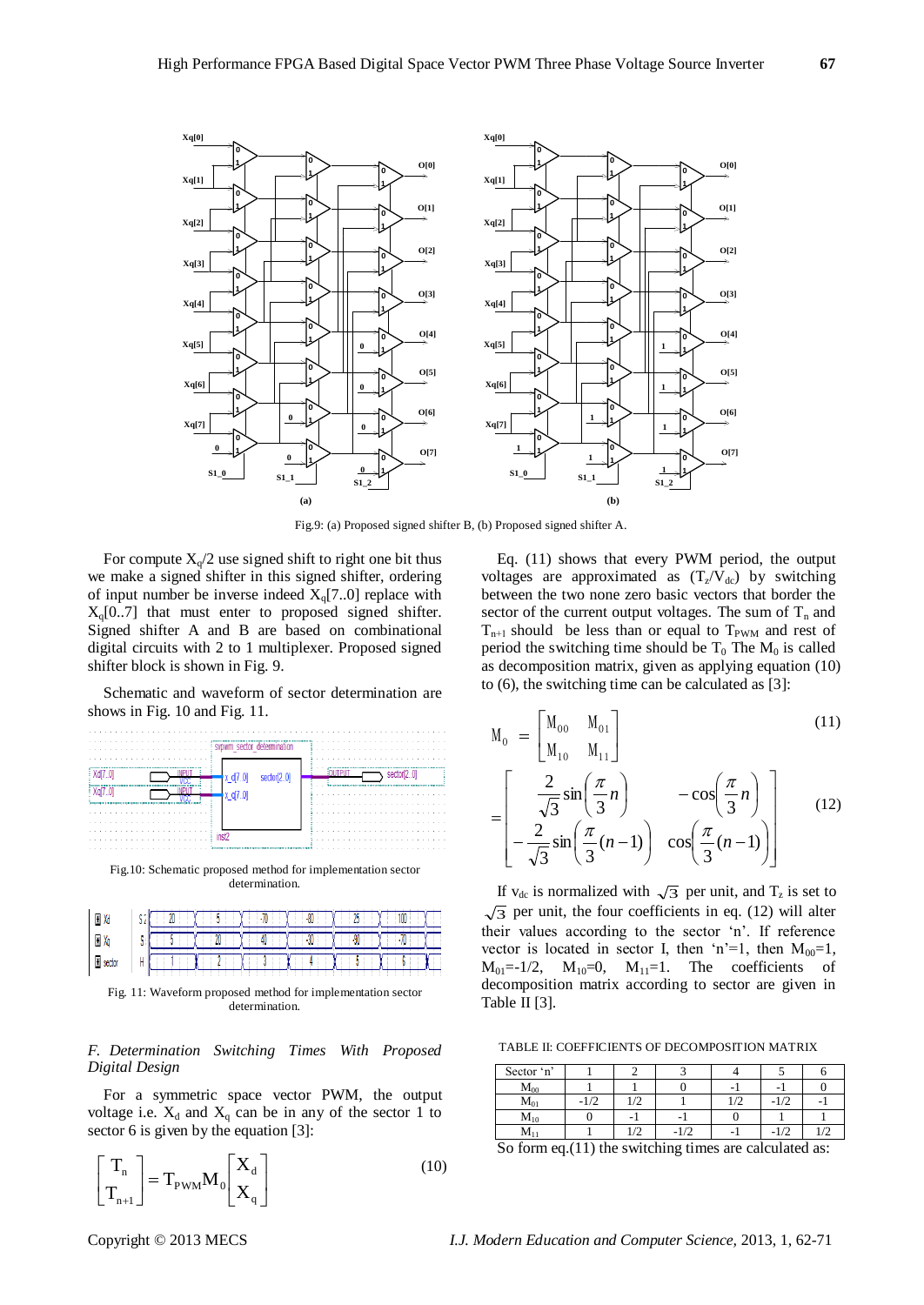

Fig.9: (a) Proposed signed shifter B, (b) Proposed signed shifter A.

For compute  $X_q/2$  use signed shift to right one bit thus we make a signed shifter in this signed shifter, ordering of input number be inverse indeed  $X<sub>q</sub>[7..0]$  replace with  $X_q[0..7]$  that must enter to proposed signed shifter. Signed shifter A and B are based on combinational digital circuits with 2 to 1 multiplexer. Proposed signed shifter block is shown in Fig. 9.

Schematic and waveform of sector determination are shows in Fig. 10 and Fig. 11.



Fig.10: Schematic proposed method for implementation sector determination.

|     | -- |    |    | -- | ιvν                      |
|-----|----|----|----|----|--------------------------|
|     |    | 88 | A. |    | $\overline{\phantom{a}}$ |
| . . |    |    |    |    |                          |

Fig. 11: Waveform proposed method for implementation sector determination.

# *F. Determination Switching Times With Proposed Digital Design*

For a symmetric space vector PWM, the output voltage i.e.  $X_d$  and  $X_q$  can be in any of the sector 1 to sector 6 is given by the equation [3]:

$$
\begin{bmatrix} \mathbf{T}_{n} \\ \mathbf{T}_{n+1} \end{bmatrix} = \mathbf{T}_{\text{PWM}} \mathbf{M}_{0} \begin{bmatrix} \mathbf{X}_{d} \\ \mathbf{X}_{q} \end{bmatrix}
$$
 (10)

Eq. (11) shows that every PWM period, the output voltages are approximated as  $(T_z/V_{dc})$  by switching between the two none zero basic vectors that border the sector of the current output voltages. The sum of  $T_n$  and  $T_{n+1}$  should be less than or equal to  $T_{\text{PWM}}$  and rest of period the switching time should be  $T_0$  The  $M_0$  is called as decomposition matrix, given as applying equation (10) to (6), the switching time can be calculated as [3]:

$$
M_0 = \begin{bmatrix} M_{00} & M_{01} \\ M_{10} & M_{11} \end{bmatrix}
$$
(11)  
= 
$$
\begin{bmatrix} \frac{2}{\sqrt{3}} \sin\left(\frac{\pi}{3}n\right) & -\cos\left(\frac{\pi}{3}n\right) \\ -\frac{2}{\sqrt{3}} \sin\left(\frac{\pi}{3}(n-1)\right) & \cos\left(\frac{\pi}{3}(n-1)\right) \end{bmatrix}
$$
(12)

If  $v_{dc}$  is normalized with  $\sqrt{3}$  per unit, and  $T_z$  is set to  $\overline{3}$  per unit, the four coefficients in eq. (12) will alter their values according to the sector "n". If reference vector is located in sector I, then 'n'=1, then  $M_{00}=1$ ,  $M_{01}=-1/2$ ,  $M_{10}=0$ ,  $M_{11}=1$ . The coefficients of decomposition matrix according to sector are given in Table II [3].

TABLE II: COEFFICIENTS OF DECOMPOSITION MATRIX

| Sector 'n'                             |              |               |                                          |    |           |      |
|----------------------------------------|--------------|---------------|------------------------------------------|----|-----------|------|
| $M_{00}$                               |              |               |                                          |    |           |      |
| $M_{01}$                               |              | $\sqrt{2}$    |                                          | /2 |           |      |
| $M_{10}$                               |              |               | -                                        |    |           |      |
| $M_{11}$                               |              | $\frac{1}{2}$ |                                          |    | $-1/2$    | من ا |
| $\mathbf{C}$ $\mathbf{C}$ $\mathbf{C}$ | $(11)$ $(1)$ |               | and the set of the set of the set of the |    | . . 1 1 1 |      |

So form eq.(11) the switching times are calculated as: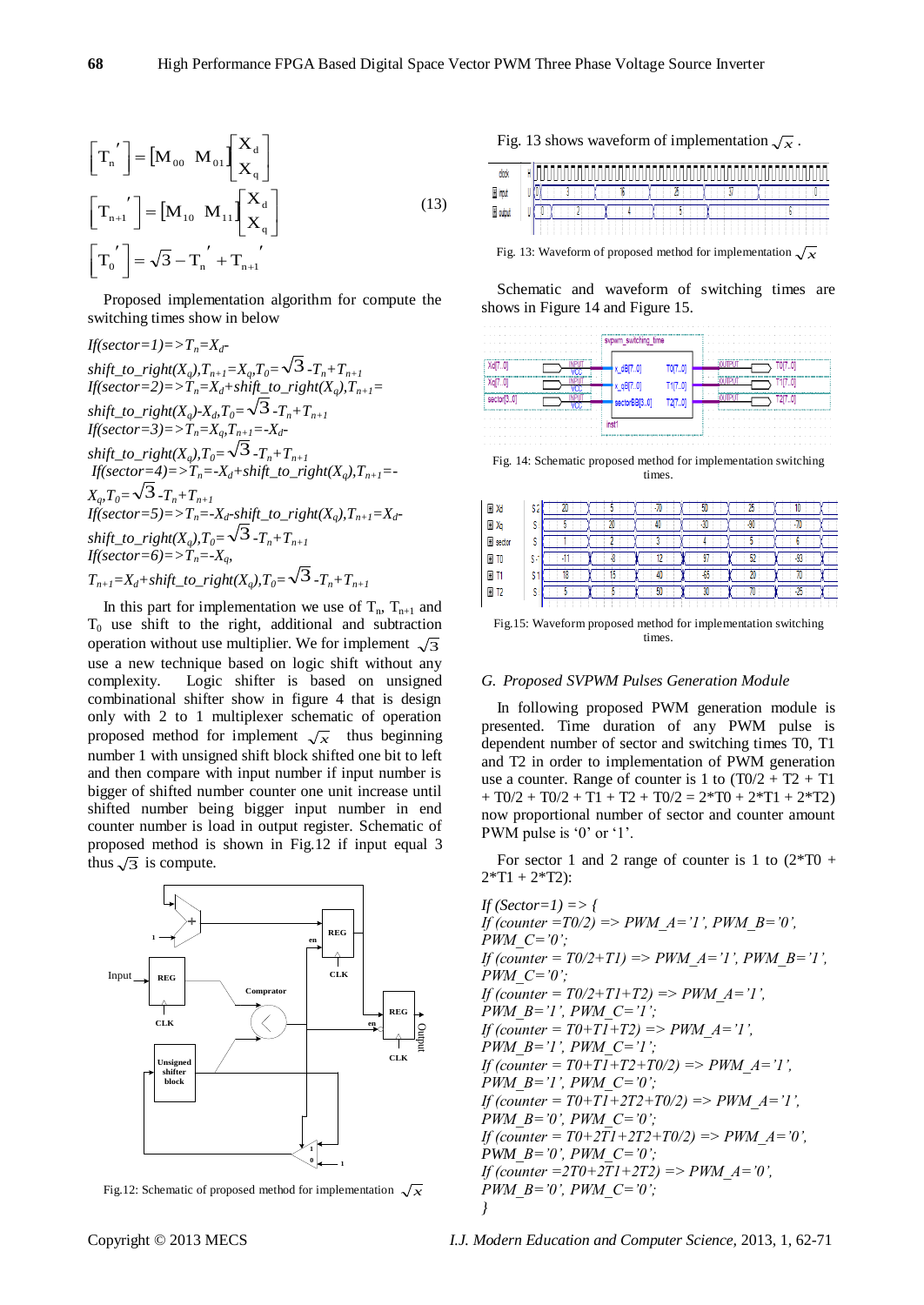$$
\begin{bmatrix} T_n' \end{bmatrix} = \begin{bmatrix} M_{00} & M_{01} \end{bmatrix} \begin{bmatrix} X_d \\ X_q \end{bmatrix}
$$

$$
\begin{bmatrix} T_{n+1}' \end{bmatrix} = \begin{bmatrix} M_{10} & M_{11} \end{bmatrix} \begin{bmatrix} X_d \\ X_q \end{bmatrix}
$$

$$
\begin{bmatrix} T_0' \end{bmatrix} = \sqrt{3} - T_n' + T_{n+1}'
$$
 (13)

Proposed implementation algorithm for compute the switching times show in below

$$
If (sector=1)=>T_n=X_d-
$$
\nshift\_to\_right(X\_q), T\_{n+1}=X\_q, T\_0=\\> \overline{3} - T\_n + T\_{n+1}\n
$$
If (sector=2)=>T_n=X_d+shift\_to_right(X_q), T_{n+1}=
$$
\nshift\_to\_right(X\_q)-X\_d, T\_0=\\> \overline{3} - T\_n + T\_{n+1}\n
$$
If (sector=3)=>T_n=X_q, T_{n+1}=-X_d-
$$
\nshift\_to\_right(X\_q), T\_0=\\> \overline{3} - T\_n + T\_{n+1}\n
$$
If (sector=4)=>T_n=-X_d+shift\_to_right(X_q), T_{n+1}=-
$$
\n
$$
X_q, T_0=\sqrt{3} - T_n + T_{n+1}
$$
\n
$$
If (sector=5)=>T_n=-X_d-shift\_to_right(X_q), T_{n+1}=X_d-
$$
\nshift\_to\_right(X\_q), T\_0=\\> \overline{3} - T\_n + T\_{n+1}\n
$$
If (sector=6)=>T_n=-X_q,
$$
\n
$$
T_{n+1}=X_d+shift\_to_right(X_q), T_0=\sqrt{3} - T_n + T_{n+1}
$$

In this part for implementation we use of  $T_n$ ,  $T_{n+1}$  and  $T_0$  use shift to the right, additional and subtraction operation without use multiplier. We for implement  $\sqrt{3}$ use a new technique based on logic shift without any complexity. Logic shifter is based on unsigned combinational shifter show in figure 4 that is design only with 2 to 1 multiplexer schematic of operation proposed method for implement  $\sqrt{x}$  thus beginning number 1 with unsigned shift block shifted one bit to left and then compare with input number if input number is bigger of shifted number counter one unit increase until shifted number being bigger input number in end counter number is load in output register. Schematic of proposed method is shown in Fig.12 if input equal 3 thus  $\sqrt{3}$  is compute.



Fig.12: Schematic of proposed method for implementation  $\sqrt{x}$ 

Fig. 13 shows waveform of implementation  $\sqrt{x}$ .

| COO      | - | ---<br>-- |  |
|----------|---|-----------|--|
| E input  |   |           |  |
| E output |   |           |  |
|          |   |           |  |

Fig. 13: Waveform of proposed method for implementation  $\sqrt{x}$ 

Schematic and waveform of switching times are shows in Figure 14 and Figure 15.

| .<br>. | svpwm_switching_time |       | .          |  |
|--------|----------------------|-------|------------|--|
|        | x dBI7               |       |            |  |
|        |                      | 117.0 |            |  |
|        | secto                |       |            |  |
| .<br>. |                      |       | $\sim$ $-$ |  |

Fig. 14: Schematic proposed method for implementation switching times.

| EI Xd              | ð       |    | <b>Thu</b> | 50    | 23  |     |  |
|--------------------|---------|----|------------|-------|-----|-----|--|
| El Xq              | S       | ΖU | 4b         | $-30$ | -9. |     |  |
| El sector          | ×       |    |            |       |     |     |  |
| H <sub>10</sub>    | s:<br>٠ |    |            |       |     | -93 |  |
| ΞT                 | o<br>ð  |    |            | บบ    |     |     |  |
| $E$ T <sub>2</sub> | S       |    | 50         | м     |     |     |  |
|                    |         |    |            |       |     |     |  |

Fig.15: Waveform proposed method for implementation switching times.

#### *G. Proposed SVPWM Pulses Generation Module*

In following proposed PWM generation module is presented. Time duration of any PWM pulse is dependent number of sector and switching times T0, T1 and T2 in order to implementation of PWM generation use a counter. Range of counter is 1 to  $(T0/2 + T2 + T1)$  $+ T0/2 + T0/2 + T1 + T2 + T0/2 = 2*T0 + 2*T1 + 2*T2)$ now proportional number of sector and counter amount PWM pulse is '0' or '1'.

For sector 1 and 2 range of counter is 1 to  $(2*T0 +$  $2*T1 + 2*T2$ :

*If (Sector=1) => { If (counter =T0/2) => PWM\_A='1', PWM\_B='0', PWM\_C='0'; If (counter = T0/2+T1) => PWM\_A='1', PWM\_B='1', PWM\_C='0'; If (counter = T0/2+T1+T2) => PWM\_A='1', PWM\_B='1', PWM\_C='1'; If (counter = T0+T1+T2) => PWM\_A='1', PWM\_B='1', PWM\_C='1'; If (counter = T0+T1+T2+T0/2) => PWM\_A='1', PWM\_B='1', PWM\_C='0'; If (counter = T0+T1+2T2+T0/2) => PWM\_A='1', PWM\_B='0', PWM\_C='0'; If (counter = T0+2T1+2T2+T0/2) => PWM\_A='0', PWM\_B='0', PWM\_C='0'; If (counter =2T0+2T1+2T2) => PWM\_A='0', PWM\_B='0', PWM\_C='0'; }*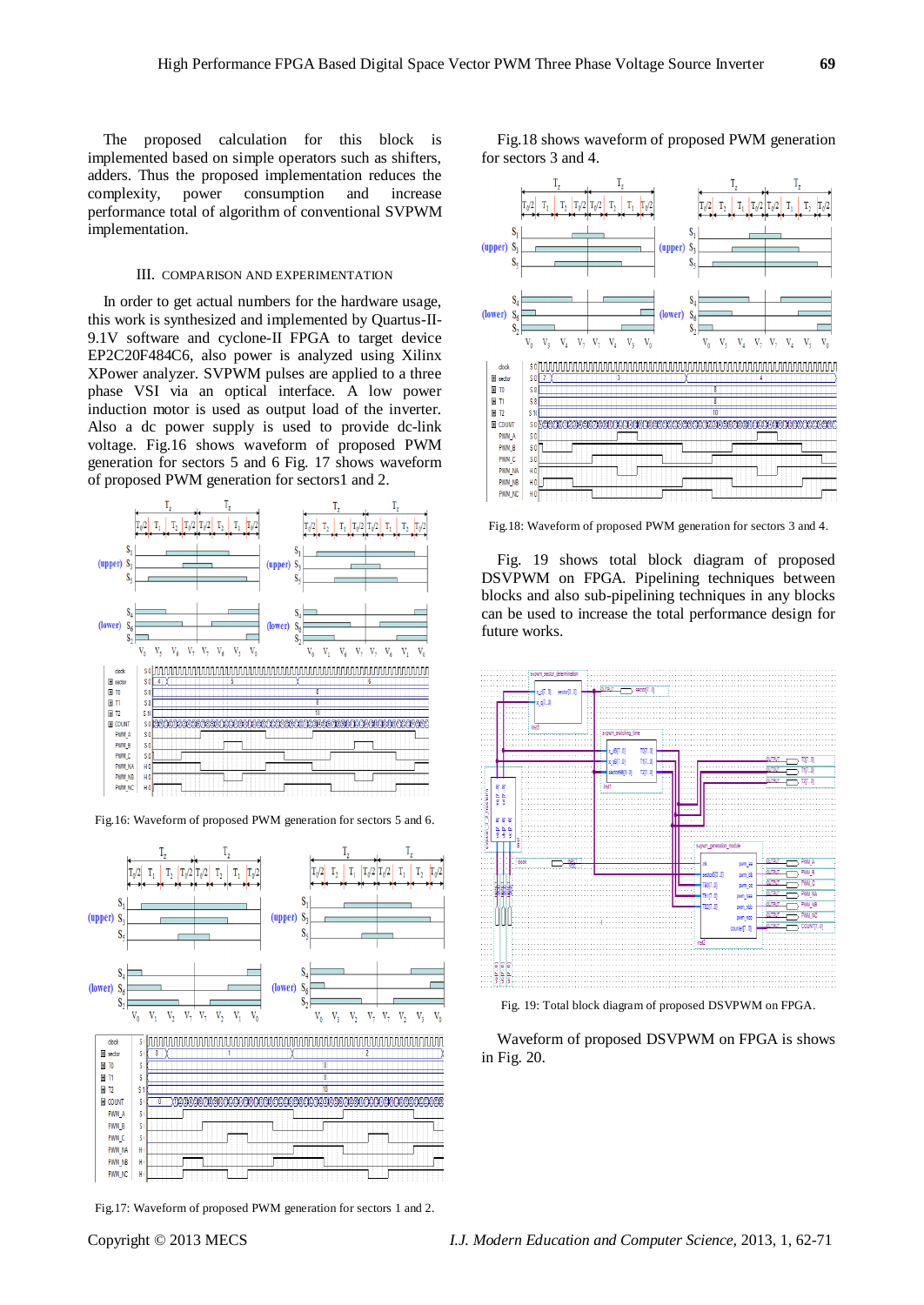The proposed calculation for this block is implemented based on simple operators such as shifters, adders. Thus the proposed implementation reduces the complexity, power consumption and increase performance total of algorithm of conventional SVPWM implementation.

#### III. COMPARISON AND EXPERIMENTATION

In order to get actual numbers for the hardware usage, this work is synthesized and implemented by Quartus-II-9.1V software and cyclone-II FPGA to target device EP2C20F484C6, also power is analyzed using Xilinx XPower analyzer. SVPWM pulses are applied to a three phase VSI via an optical interface. A low power induction motor is used as output load of the inverter. Also a dc power supply is used to provide dc-link voltage. Fig.16 shows waveform of proposed PWM generation for sectors 5 and 6 Fig. 17 shows waveform of proposed PWM generation for sectors1 and 2.



Fig.16: Waveform of proposed PWM generation for sectors 5 and 6.



Fig.17: Waveform of proposed PWM generation for sectors 1 and 2.

Fig.18 shows waveform of proposed PWM generation for sectors 3 and 4.



Fig.18: Waveform of proposed PWM generation for sectors 3 and 4.

Fig. 19 shows total block diagram of proposed DSVPWM on FPGA. Pipelining techniques between blocks and also sub-pipelining techniques in any blocks can be used to increase the total performance design for future works.



Fig. 19: Total block diagram of proposed DSVPWM on FPGA.

Waveform of proposed DSVPWM on FPGA is shows in Fig. 20.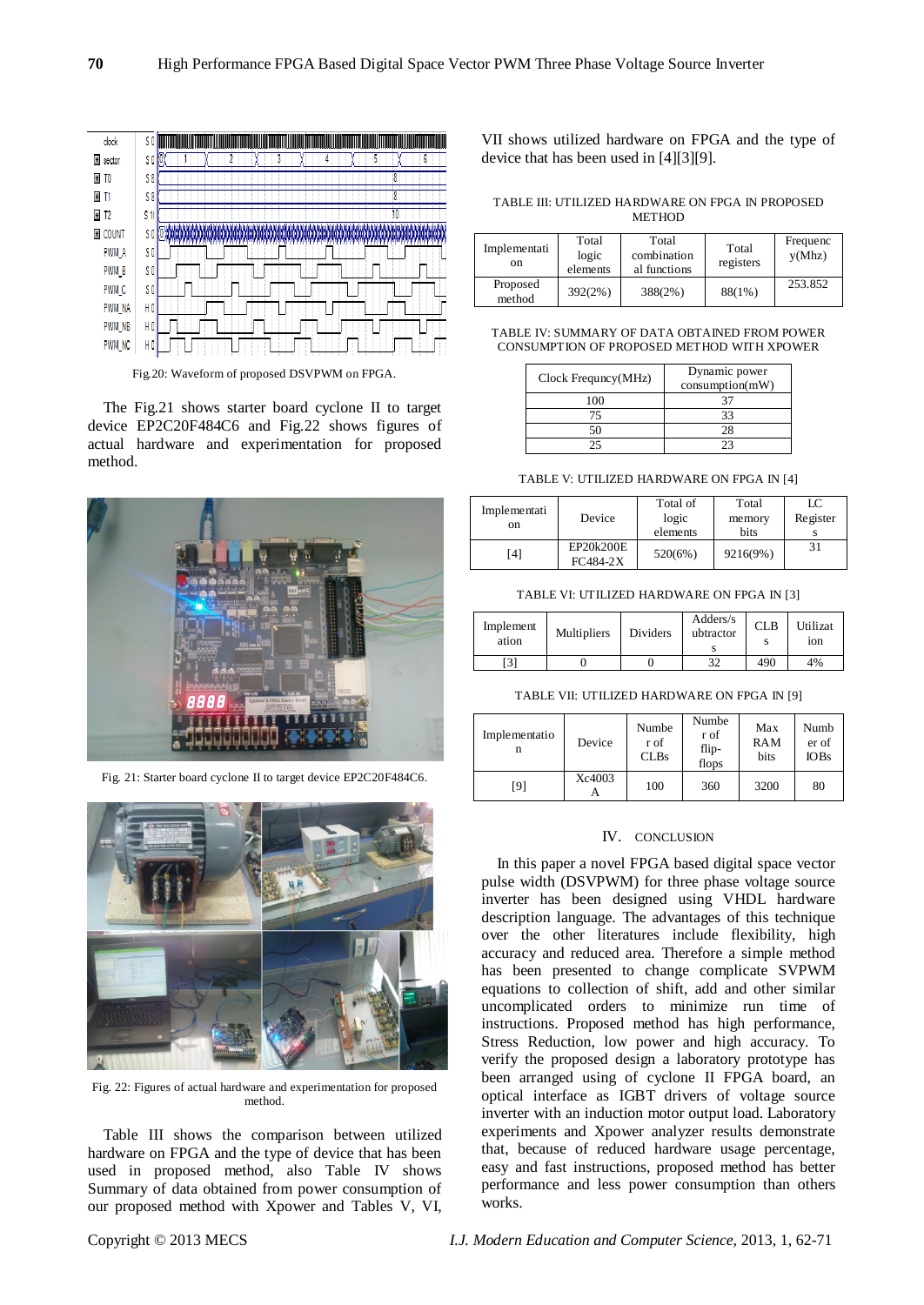

Fig.20: Waveform of proposed DSVPWM on FPGA.

The Fig.21 shows starter board cyclone II to target device EP2C20F484C6 and Fig.22 shows figures of actual hardware and experimentation for proposed method.



Fig. 21: Starter board cyclone II to target device EP2C20F484C6.



Fig. 22: Figures of actual hardware and experimentation for proposed method.

Table III shows the comparison between utilized hardware on FPGA and the type of device that has been used in proposed method, also Table IV shows Summary of data obtained from power consumption of our proposed method with Xpower and Tables V, VI,

VII shows utilized hardware on FPGA and the type of device that has been used in [4][3][9].

TABLE III: UTILIZED HARDWARE ON FPGA IN PROPOSED **METHOD** 

| Implementati<br>on | Total<br>logic<br>elements | Total<br>combination<br>al functions | Total<br>registers | Frequenc<br>y(Mhz) |
|--------------------|----------------------------|--------------------------------------|--------------------|--------------------|
| Proposed<br>method | 392(2%)                    | 388(2%)                              | 88(1%)             | 253.852            |

#### TABLE IV: SUMMARY OF DATA OBTAINED FROM POWER CONSUMPTION OF PROPOSED METHOD WITH XPOWER

| Clock Frequey(MHz) | Dynamic power<br>consumption(mW) |
|--------------------|----------------------------------|
| 100                |                                  |
| 75                 | 33                               |
| 50                 | 28                               |
| つく                 | つっ                               |

TABLE V: UTILIZED HARDWARE ON FPGA IN [4]

| Implementati<br>on | Device                  | Total of<br>logic<br>elements | Total<br>memory<br>bits | LC<br>Register |
|--------------------|-------------------------|-------------------------------|-------------------------|----------------|
| [4]                | EP20k200E<br>$FC484-2X$ | 520(6%)                       | 9216(9%)                | 31             |

TABLE VI: UTILIZED HARDWARE ON FPGA IN [3]

| Implement<br>ation | <b>Multipliers</b> | Dividers | Adders/s<br>ubtractor | CLB | Utilizat<br>10n |
|--------------------|--------------------|----------|-----------------------|-----|-----------------|
| [3]                |                    |          | 32                    | 490 | 4%              |

TABLE VII: UTILIZED HARDWARE ON FPGA IN [9]

| Implementatio<br>n | Device | Numbe<br>r of<br><b>CLBs</b> | Numbe<br>r of<br>flip-<br>flops | Max<br><b>RAM</b><br>bits | Numb<br>er of<br><b>IOBs</b> |
|--------------------|--------|------------------------------|---------------------------------|---------------------------|------------------------------|
| [9]                | Xc4003 | 100                          | 360                             | 3200                      | 80                           |

#### IV. CONCLUSION

In this paper a novel FPGA based digital space vector pulse width (DSVPWM) for three phase voltage source inverter has been designed using VHDL hardware description language. The advantages of this technique over the other literatures include flexibility, high accuracy and reduced area. Therefore a simple method has been presented to change complicate SVPWM equations to collection of shift, add and other similar uncomplicated orders to minimize run time of instructions. Proposed method has high performance, Stress Reduction, low power and high accuracy. To verify the proposed design a laboratory prototype has been arranged using of cyclone II FPGA board, an optical interface as IGBT drivers of voltage source inverter with an induction motor output load. Laboratory experiments and Xpower analyzer results demonstrate that, because of reduced hardware usage percentage, easy and fast instructions, proposed method has better performance and less power consumption than others works.